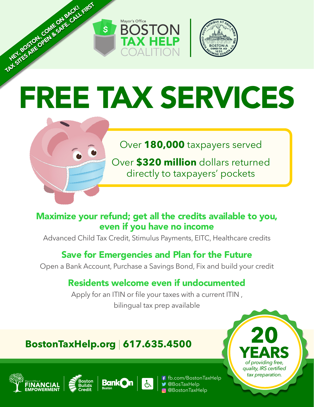

 $\mathsf{S}$ 



# FREE TAX SERVICES



TAX SITES ARE OPEN & SAFE. CALL FIRST

Over **180,000** taxpayers served

Over **\$320 million** dollars returned directly to taxpayers' pockets

# Maximize your refund; get all the credits available to you, even if you have no income

Advanced Child Tax Credit, Stimulus Payments, EITC, Healthcare credits

# Save for Emergencies and Plan for the Future

Open a Bank Account, Purchase a Savings Bond, Fix and build your credit

# Residents welcome even if undocumented

Apply for an ITIN or file your taxes with a current ITIN, bilingual tax prep available

# **BostonTaxHelp.org** | **617.635.4500**









**20 YEARS** *of providing free, quality, IRS certified tax preparation.*